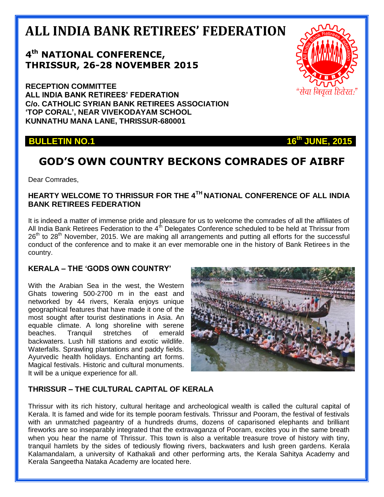# **ALL INDIA BANK RETIREES' FEDERATION**

## **4 th NATIONAL CONFERENCE, THRISSUR, 26-28 NOVEMBER 2015**

**RECEPTION COMMITTEE ALL INDIA BANK RETIREES' FEDERATION C/o. CATHOLIC SYRIAN BANK RETIREES ASSOCIATION 'TOP CORAL', NEAR VIVEKODAYAM SCHOOL KUNNATHU MANA LANE, THRISSUR-680001**

**BULLETIN NO.1 16<sup>th</sup> JUNE, 2015** 

## **GOD'S OWN COUNTRY BECKONS COMRADES OF AIBRF**

Dear Comrades,

#### **HEARTY WELCOME TO THRISSUR FOR THE 4TH NATIONAL CONFERENCE OF ALL INDIA BANK RETIREES FEDERATION**

It is indeed a matter of immense pride and pleasure for us to welcome the comrades of all the affiliates of All India Bank Retirees Federation to the  $4<sup>th</sup>$  Delegates Conference scheduled to be held at Thrissur from  $26<sup>th</sup>$  to  $28<sup>th</sup>$  November, 2015. We are making all arrangements and putting all efforts for the successful conduct of the conference and to make it an ever memorable one in the history of Bank Retirees in the country.

#### **KERALA – THE 'GODS OWN COUNTRY'**

With the Arabian Sea in the west, the Western Ghats towering 500-2700 m in the east and networked by 44 rivers, Kerala enjoys unique geographical features that have made it one of the most sought after tourist destinations in Asia. An equable climate. A long shoreline with serene beaches. Tranquil stretches of emerald backwaters. Lush hill stations and exotic wildlife. Waterfalls. Sprawling plantations and paddy fields. Ayurvedic health holidays. Enchanting art forms. Magical festivals. Historic and cultural monuments. It will be a unique experience for all.



### **THRISSUR – THE CULTURAL CAPITAL OF KERALA**

Thrissur with its rich history, cultural heritage and archeological wealth is called the cultural capital of Kerala. It is famed and wide for its temple pooram festivals. Thrissur and Pooram, the festival of festivals with an unmatched pageantry of a hundreds drums, dozens of caparisoned elephants and brilliant fireworks are so inseparably integrated that the extravaganza of Pooram, excites you in the same breath when you hear the name of Thrissur. This town is also a veritable treasure trove of history with tiny, tranquil hamlets by the sides of tediously flowing rivers, backwaters and lush green gardens. Kerala Kalamandalam, a university of Kathakali and other performing arts, the Kerala Sahitya Academy and Kerala Sangeetha Nataka Academy are located here.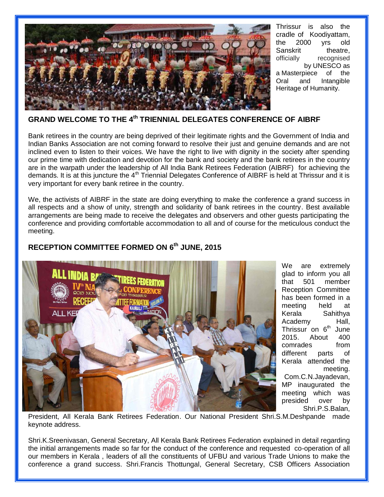

Thrissur is also the cradle of Koodiyattam, the 2000 yrs old Sanskrit theatre, officially recognised by [UNESCO](https://en.wikipedia.org/wiki/UNESCO) as a [Masterpiece of the](https://en.wikipedia.org/wiki/Masterpieces_of_the_Oral_and_Intangible_Heritage_of_Humanity)  [Oral and Intangible](https://en.wikipedia.org/wiki/Masterpieces_of_the_Oral_and_Intangible_Heritage_of_Humanity)  [Heritage of Humanity.](https://en.wikipedia.org/wiki/Masterpieces_of_the_Oral_and_Intangible_Heritage_of_Humanity)

#### **GRAND WELCOME TO THE 4 th TRIENNIAL DELEGATES CONFERENCE OF AIBRF**

Bank retirees in the country are being deprived of their legitimate rights and the Government of India and Indian Banks Association are not coming forward to resolve their just and genuine demands and are not inclined even to listen to their voices. We have the right to live with dignity in the society after spending our prime time with dedication and devotion for the bank and society and the bank retirees in the country are in the warpath under the leadership of All India Bank Retirees Federation (AIBRF) for achieving the demands. It is at this juncture the  $4<sup>th</sup>$  Triennial Delegates Conference of AIBRF is held at Thrissur and it is very important for every bank retiree in the country.

We, the activists of AIBRF in the state are doing everything to make the conference a grand success in all respects and a show of unity, strength and solidarity of bank retirees in the country. Best available arrangements are being made to receive the delegates and observers and other guests participating the conference and providing comfortable accommodation to all and of course for the meticulous conduct the meeting.



**RECEPTION COMMITTEE FORMED ON 6 th JUNE, 2015**

We are extremely glad to inform you all that 501 member Reception Committee has been formed in a meeting held at Kerala Sahithya Academy Hall, Thrissur on 6<sup>th</sup> June 2015. About 400 comrades from different parts of Kerala attended the meeting. Com.C.N.Jayadevan,

MP inaugurated the meeting which was presided over by Shri.P.S.Balan,

President, All Kerala Bank Retirees Federation. Our National President Shri.S.M.Deshpande made keynote address.

Shri.K.Sreenivasan, General Secretary, All Kerala Bank Retirees Federation explained in detail regarding the initial arrangements made so far for the conduct of the conference and requested co-operation of all our members in Kerala , leaders of all the constituents of UFBU and various Trade Unions to make the conference a grand success. Shri.Francis Thottungal, General Secretary, CSB Officers Association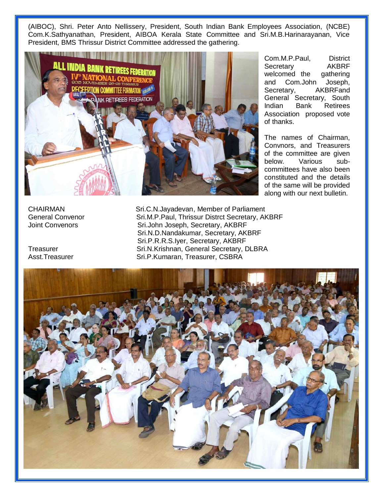(AIBOC), Shri. Peter Anto Nellissery, President, South Indian Bank Employees Association, (NCBE) Com.K.Sathyanathan, President, AIBOA Kerala State Committee and Sri.M.B.Harinarayanan, Vice President, BMS Thrissur District Committee addressed the gathering.



Com.M.P.Paul, District Secretary AKBRF welcomed the gathering and Com.John Joseph, Secretary, AKBRFand General Secretary, South Indian Bank Retirees Association proposed vote of thanks.

The names of Chairman, Convnors, and Treasurers of the committee are given below. Various subcommittees have also been constituted and the details of the same will be provided along with our next bulletin.

CHAIRMAN Sri.C.N.Jayadevan, Member of Parliament General Convenor Sri.M.P.Paul, Thrissur Distrct Secretary, AKBRF Joint Convenors **Sri.John Joseph, Secretary, AKBRF**  Sri.N.D.Nandakumar, Secretary, AKBRF Sri.P.R.R.S.Iyer, Secretary, AKBRF Treasurer Sri.N.Krishnan, General Secretary, DLBRA Asst.Treasurer Sri.P.Kumaran, Treasurer, CSBRA

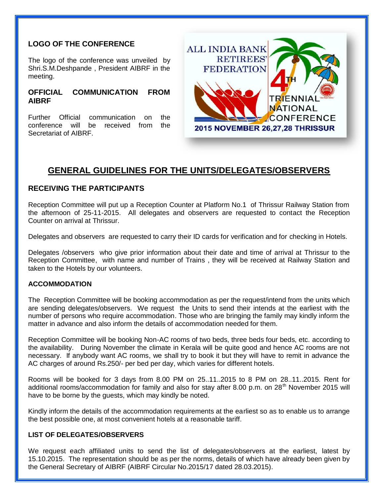#### **LOGO OF THE CONFERENCE**

The logo of the conference was unveiled by Shri.S.M.Deshpande , President AIBRF in the meeting.

#### **OFFICIAL COMMUNICATION FROM AIBRF**

Further Official communication on the conference will be received from the Secretariat of AIBRF.



## **GENERAL GUIDELINES FOR THE UNITS/DELEGATES/OBSERVERS**

#### **RECEIVING THE PARTICIPANTS**

Reception Committee will put up a Reception Counter at Platform No.1 of Thrissur Railway Station from the afternoon of 25-11-2015. All delegates and observers are requested to contact the Reception Counter on arrival at Thrissur.

Delegates and observers are requested to carry their ID cards for verification and for checking in Hotels.

Delegates /observers who give prior information about their date and time of arrival at Thrissur to the Reception Committee, with name and number of Trains , they will be received at Railway Station and taken to the Hotels by our volunteers.

#### **ACCOMMODATION**

The Reception Committee will be booking accommodation as per the request/intend from the units which are sending delegates/observers. We request the Units to send their intends at the earliest with the number of persons who require accommodation. Those who are bringing the family may kindly inform the matter in advance and also inform the details of accommodation needed for them.

Reception Committee will be booking Non-AC rooms of two beds, three beds four beds, etc. according to the availability. During November the climate in Kerala will be quite good and hence AC rooms are not necessary. If anybody want AC rooms, we shall try to book it but they will have to remit in advance the AC charges of around Rs.250/- per bed per day, which varies for different hotels.

Rooms will be booked for 3 days from 8.00 PM on 25..11..2015 to 8 PM on 28..11..2015. Rent for additional rooms/accommodation for family and also for stay after 8.00 p.m. on 28<sup>th</sup> November 2015 will have to be borne by the guests, which may kindly be noted.

Kindly inform the details of the accommodation requirements at the earliest so as to enable us to arrange the best possible one, at most convenient hotels at a reasonable tariff.

#### **LIST OF DELEGATES/OBSERVERS**

We request each affiliated units to send the list of delegates/observers at the earliest, latest by 15.10.2015. The representation should be as per the norms, details of which have already been given by the General Secretary of AIBRF (AIBRF Circular No.2015/17 dated 28.03.2015).